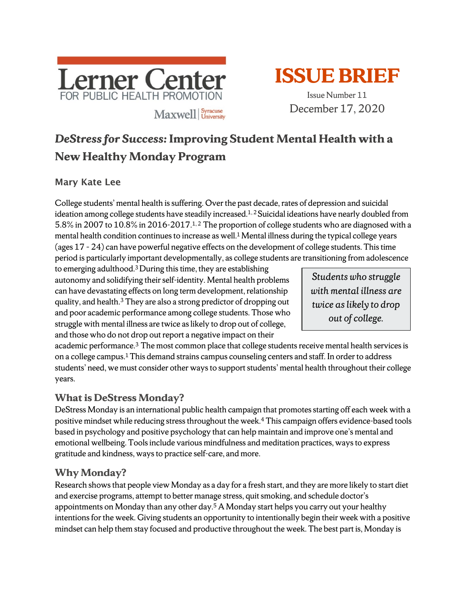



December 17, 2020

# *DeStress for Success:* **Improving Student Mental Health with a New Healthy Monday Program**

#### Mary Kate Lee

College students' mental health is suffering. Over the past decade, rates of depression and suicidal ideation among college students have steadily increased.<sup>1, 2</sup> Suicidal ideations have nearly doubled from 5.8% in 2007 to 10.8% in 2016-2017.1, 2 The proportion of college students who are diagnosed with a mental health condition continues to increase as well.<sup>1</sup> Mental illness during the typical college years (ages 17 – 24) can have powerful negative effects on the development of college students. This time period is particularly important developmentally, as college students are transitioning from adolescence

to emerging adulthood.3 During this time, they are establishing autonomy and solidifying their self-identity. Mental health problems can have devastating effects on long term development, relationship quality, and health.3 They are also a strong predictor of dropping out and poor academic performance among college students. Those who struggle with mental illness are twice as likely to drop out of college, and those who do not drop out report a negative impact on their

*Students who struggle with mental illness are twice as likely to drop out of college.* 

academic performance.3 The most common place that college students receive mental health services is on a college campus.1 This demand strains campus counseling centers and staff. In order to address students' need, we must consider other ways to support students' mental health throughout their college years.

# **What is DeStress Monday?**

DeStress Monday is an international public health campaign that promotes starting off each week with a positive mindset while reducing stress throughout the week.4 This campaign offers evidence-based tools based in psychology and positive psychology that can help maintain and improve one's mental and emotional wellbeing. Tools include various mindfulness and meditation practices, ways to express gratitude and kindness, waysto practice self-care, and more.

# **Why Monday?**

Research shows that people view Monday as a day for a fresh start, and they are more likely to start diet and exercise programs, attempt to better manage stress, quit smoking, and schedule doctor's appointments on Monday than any other day.5 A Monday start helps you carry out your healthy intentionsfor the week. Giving students an opportunity to intentionally begin their week with a positive mindset can help them stay focused and productive throughout the week. The best part is, Monday is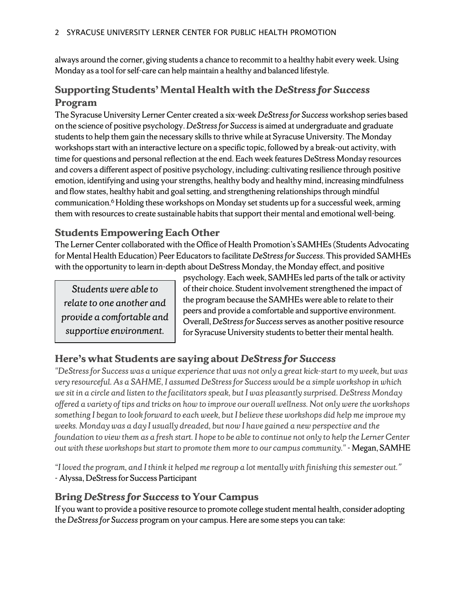always around the corner, giving students a chance to recommit to a healthy habit every week. Using Monday as a tool for self-care can help maintain a healthy and balanced lifestyle.

# **Supporting Students' Mental Health with the** *DeStress for Success* **Program**

The Syracuse University Lerner Center created a six-week *DeStress for Success* workshop series based on the science of positive psychology. *DeStress for Success*is aimed at undergraduate and graduate students to help them gain the necessary skills to thrive while at Syracuse University. The Monday workshops start with an interactive lecture on a specific topic, followed by a break-out activity, with time for questions and personal reflection at the end. Each week features DeStress Monday resources and covers a different aspect of positive psychology, including: cultivating resilience through positive emotion, identifying and using your strengths, healthy body and healthy mind, increasing mindfulness and flow states, healthy habit and goal setting, and strengthening relationships through mindful communication. 6 Holding these workshops on Monday set students up for a successful week, arming them with resources to create sustainable habits that support their mental and emotional well-being.

# **Students Empowering Each Other**

The Lerner Center collaborated with the Office of Health Promotion's SAMHEs (Students Advocating for Mental Health Education) Peer Educators to facilitate *DeStress for Success*. This provided SAMHEs with the opportunity to learn in-depth about DeStress Monday, the Monday effect, and positive

*Students were able to relate to one another and provide a comfortable and supportive environment.* 

psychology. Each week, SAMHEs led parts of the talk or activity of their choice. Student involvement strengthened the impact of the program because the SAMHEs were able to relate to their peers and provide a comfortable and supportive environment. Overall, *DeStress for Success*serves as another positive resource for Syracuse University students to better their mental health.

# **Here's what Students are saying about** *DeStress for Success*

*"DeStress for Success was a unique experience that was not only a great kick-start to my week, but was very resourceful. As a SAHME, I assumed DeStress for Success would be a simple workshop in which we sit in a circle and listen to the facilitators speak, but I was pleasantly surprised. DeStress Monday offered a variety of tips and tricks on how to improve our overall wellness. Not only were the workshops something I began to look forward to each week, but I believe these workshops did help me improve my weeks. Monday was a day I usually dreaded, but now I have gained a new perspective and the foundation to view them as a fresh start. I hope to be able to continue not only to help the Lerner Center out with these workshops but start to promote them more to our campus community."*- Megan, SAMHE

*"I loved the program, and I think it helped me regroup a lot mentally with finishing this semester out."*  - Alyssa, DeStress for Success Participant

#### **Bring** *DeStress for Success* **to Your Campus**

If you want to provide a positive resource to promote college student mental health, consider adopting the *DeStress for Success* program on your campus. Here are some steps you can take: